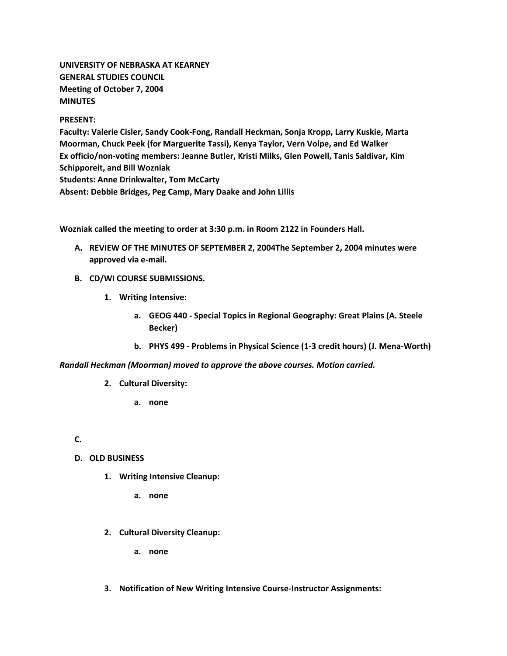**UNIVERSITY OF NEBRASKA AT KEARNEY GENERAL STUDIES COUNCIL Meeting of October 7, 2004 MINUTES**

#### **PRESENT:**

**Faculty: Valerie Cisler, Sandy Cook-Fong, Randall Heckman, Sonja Kropp, Larry Kuskie, Marta Moorman, Chuck Peek (for Marguerite Tassi), Kenya Taylor, Vern Volpe, and Ed Walker Ex officio/non-voting members: Jeanne Butler, Kristi Milks, Glen Powell, Tanis Saldivar, Kim Schipporeit, and Bill Wozniak Students: Anne Drinkwalter, Tom McCarty Absent: Debbie Bridges, Peg Camp, Mary Daake and John Lillis**

**Wozniak called the meeting to order at 3:30 p.m. in Room 2122 in Founders Hall.**

- **A. REVIEW OF THE MINUTES OF SEPTEMBER 2, 2004The September 2, 2004 minutes were approved via e-mail.**
- **B. CD/WI COURSE SUBMISSIONS.**
	- **1. Writing Intensive:** 
		- **a. GEOG 440 - Special Topics in Regional Geography: Great Plains (A. Steele Becker)**
		- **b. PHYS 499 - Problems in Physical Science (1-3 credit hours) (J. Mena-Worth)**

*Randall Heckman (Moorman) moved to approve the above courses. Motion carried.*

- **2. Cultural Diversity:** 
	- **a. none**

**C.**

- **D. OLD BUSINESS**
	- **1. Writing Intensive Cleanup:** 
		- **a. none**
	- **2. Cultural Diversity Cleanup:** 
		- **a. none**
	- **3. Notification of New Writing Intensive Course-Instructor Assignments:**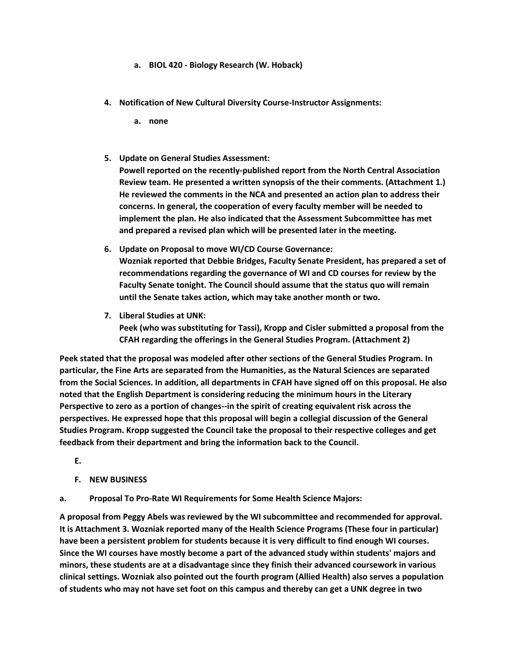- **a. BIOL 420 - Biology Research (W. Hoback)**
- **4. Notification of New Cultural Diversity Course-Instructor Assignments:** 
	- **a. none**
- **5. Update on General Studies Assessment: Powell reported on the recently-published report from the North Central Association Review team. He presented a written synopsis of the their comments. (Attachment 1.) He reviewed the comments in the NCA and presented an action plan to address their concerns. In general, the cooperation of every faculty member will be needed to implement the plan. He also indicated that the Assessment Subcommittee has met and prepared a revised plan which will be presented later in the meeting.**
- **6. Update on Proposal to move WI/CD Course Governance: Wozniak reported that Debbie Bridges, Faculty Senate President, has prepared a set of recommendations regarding the governance of WI and CD courses for review by the Faculty Senate tonight. The Council should assume that the status quo will remain until the Senate takes action, which may take another month or two.**
- **7. Liberal Studies at UNK: Peek (who was substituting for Tassi), Kropp and Cisler submitted a proposal from the CFAH regarding the offerings in the General Studies Program. (Attachment 2)**

**Peek stated that the proposal was modeled after other sections of the General Studies Program. In particular, the Fine Arts are separated from the Humanities, as the Natural Sciences are separated from the Social Sciences. In addition, all departments in CFAH have signed off on this proposal. He also noted that the English Department is considering reducing the minimum hours in the Literary Perspective to zero as a portion of changes--in the spirit of creating equivalent risk across the perspectives. He expressed hope that this proposal will begin a collegial discussion of the General Studies Program. Kropp suggested the Council take the proposal to their respective colleges and get feedback from their department and bring the information back to the Council.**

**E.**

- **F. NEW BUSINESS**
- **a. Proposal To Pro-Rate WI Requirements for Some Health Science Majors:**

**A proposal from Peggy Abels was reviewed by the WI subcommittee and recommended for approval. It is Attachment 3. Wozniak reported many of the Health Science Programs (These four in particular) have been a persistent problem for students because it is very difficult to find enough WI courses. Since the WI courses have mostly become a part of the advanced study within students' majors and minors, these students are at a disadvantage since they finish their advanced coursework in various clinical settings. Wozniak also pointed out the fourth program (Allied Health) also serves a population of students who may not have set foot on this campus and thereby can get a UNK degree in two**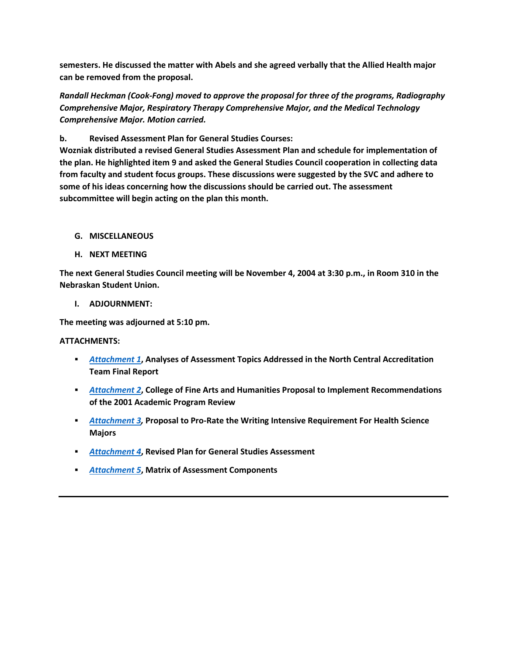**semesters. He discussed the matter with Abels and she agreed verbally that the Allied Health major can be removed from the proposal.**

*Randall Heckman (Cook-Fong) moved to approve the proposal for three of the programs, Radiography Comprehensive Major, Respiratory Therapy Comprehensive Major, and the Medical Technology Comprehensive Major. Motion carried.*

**b. Revised Assessment Plan for General Studies Courses:**

**Wozniak distributed a revised General Studies Assessment Plan and schedule for implementation of the plan. He highlighted item 9 and asked the General Studies Council cooperation in collecting data from faculty and student focus groups. These discussions were suggested by the SVC and adhere to some of his ideas concerning how the discussions should be carried out. The assessment subcommittee will begin acting on the plan this month.**

- **G. MISCELLANEOUS**
- **H. NEXT MEETING**

**The next General Studies Council meeting will be November 4, 2004 at 3:30 p.m., in Room 310 in the Nebraskan Student Union.**

**I. ADJOURNMENT:**

**The meeting was adjourned at 5:10 pm.**

#### **ATTACHMENTS:**

- *[Attachment 1](http://www.unk.edu/academicaffairs/assessment/Assessment_Process/index.php?id=4352)***, Analyses of Assessment Topics Addressed in the North Central Accreditation Team Final Report**
- *[Attachment 2](http://www.unk.edu/academicaffairs/generalstudies/index.php?id=3823)***, College of Fine Arts and Humanities Proposal to Implement Recommendations of the 2001 Academic Program Review**
- *[Attachment 3,](http://www.unk.edu/academicaffairs/generalstudies/index.php?id=3824)* **Proposal to Pro-Rate the Writing Intensive Requirement For Health Science Majors**
- *[Attachment 4](http://www.unk.edu/academicaffairs/generalstudies/index.php?id=3825)***, Revised Plan for General Studies Assessment**
- *[Attachment 5](http://www.unk.edu/academicaffairs/assessment/Assessment_Process/index.php?id=4381)***, Matrix of Assessment Components**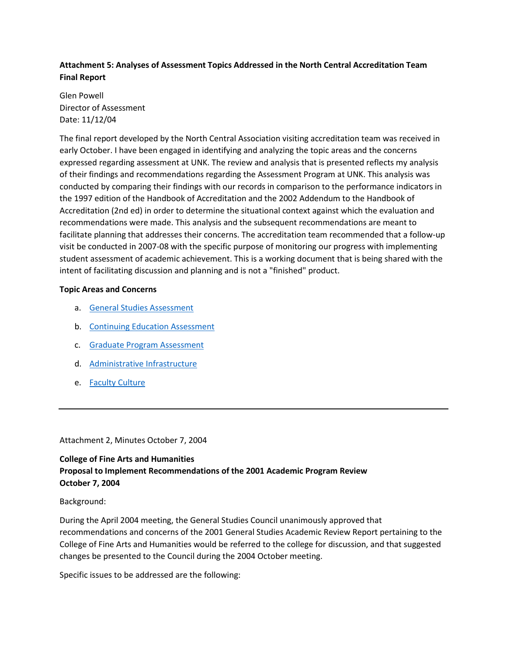## **Attachment 5: Analyses of Assessment Topics Addressed in the North Central Accreditation Team Final Report**

Glen Powell Director of Assessment Date: 11/12/04

The final report developed by the North Central Association visiting accreditation team was received in early October. I have been engaged in identifying and analyzing the topic areas and the concerns expressed regarding assessment at UNK. The review and analysis that is presented reflects my analysis of their findings and recommendations regarding the Assessment Program at UNK. This analysis was conducted by comparing their findings with our records in comparison to the performance indicators in the 1997 edition of the Handbook of Accreditation and the 2002 Addendum to the Handbook of Accreditation (2nd ed) in order to determine the situational context against which the evaluation and recommendations were made. This analysis and the subsequent recommendations are meant to facilitate planning that addresses their concerns. The accreditation team recommended that a follow-up visit be conducted in 2007-08 with the specific purpose of monitoring our progress with implementing student assessment of academic achievement. This is a working document that is being shared with the intent of facilitating discussion and planning and is not a "finished" product.

### **Topic Areas and Concerns**

- a. [General Studies Assessment](http://www.unk.edu/academicaffairs/assessment/Assessment_Process/index.php?id=4368)
- b. [Continuing Education Assessment](http://www.unk.edu/academicaffairs/assessment/Assessment_Process/index.php?id=4367)
- c. [Graduate Program Assessment](http://www.unk.edu/academicaffairs/assessment/Assessment_Process/index.php?id=4366)
- d. [Administrative Infrastructure](http://www.unk.edu/academicaffairs/assessment/Assessment_Process/index.php?id=4358)
- e. [Faculty Culture](http://www.unk.edu/academicaffairs/assessment/Assessment_Process/index.php?id=4355)

Attachment 2, Minutes October 7, 2004

# **College of Fine Arts and Humanities Proposal to Implement Recommendations of the 2001 Academic Program Review October 7, 2004**

Background:

During the April 2004 meeting, the General Studies Council unanimously approved that recommendations and concerns of the 2001 General Studies Academic Review Report pertaining to the College of Fine Arts and Humanities would be referred to the college for discussion, and that suggested changes be presented to the Council during the 2004 October meeting.

Specific issues to be addressed are the following: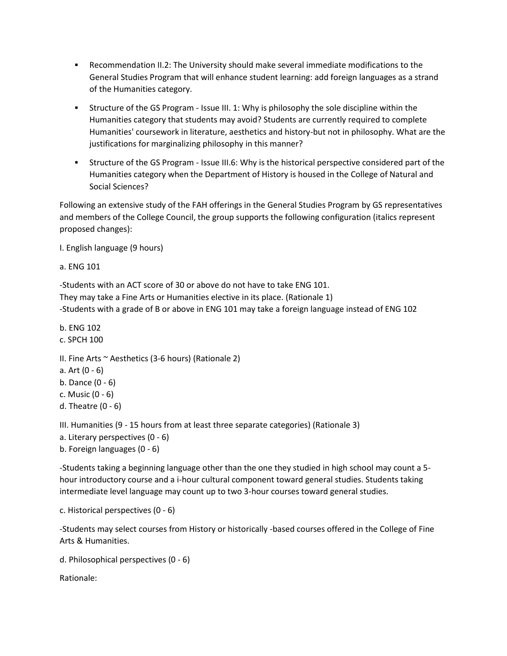- Recommendation II.2: The University should make several immediate modifications to the General Studies Program that will enhance student learning: add foreign languages as a strand of the Humanities category.
- Structure of the GS Program Issue III. 1: Why is philosophy the sole discipline within the Humanities category that students may avoid? Students are currently required to complete Humanities' coursework in literature, aesthetics and history-but not in philosophy. What are the justifications for marginalizing philosophy in this manner?
- Structure of the GS Program Issue III.6: Why is the historical perspective considered part of the Humanities category when the Department of History is housed in the College of Natural and Social Sciences?

Following an extensive study of the FAH offerings in the General Studies Program by GS representatives and members of the College Council, the group supports the following configuration (italics represent proposed changes):

I. English language (9 hours)

```
a. ENG 101
```
-Students with an ACT score of 30 or above do not have to take ENG 101. They may take a Fine Arts or Humanities elective in its place. (Rationale 1) -Students with a grade of B or above in ENG 101 may take a foreign language instead of ENG 102

b. ENG 102 c. SPCH 100 II. Fine Arts  $\sim$  Aesthetics (3-6 hours) (Rationale 2) a. Art (0 - 6) b. Dance (0 - 6) c. Music (0 - 6) d. Theatre (0 - 6)

III. Humanities (9 - 15 hours from at least three separate categories) (Rationale 3)

- a. Literary perspectives (0 6)
- b. Foreign languages (0 6)

-Students taking a beginning language other than the one they studied in high school may count a 5 hour introductory course and a i-hour cultural component toward general studies. Students taking intermediate level language may count up to two 3-hour courses toward general studies.

c. Historical perspectives (0 - 6)

-Students may select courses from History or historically -based courses offered in the College of Fine Arts & Humanities.

```
d. Philosophical perspectives (0 - 6)
```
Rationale: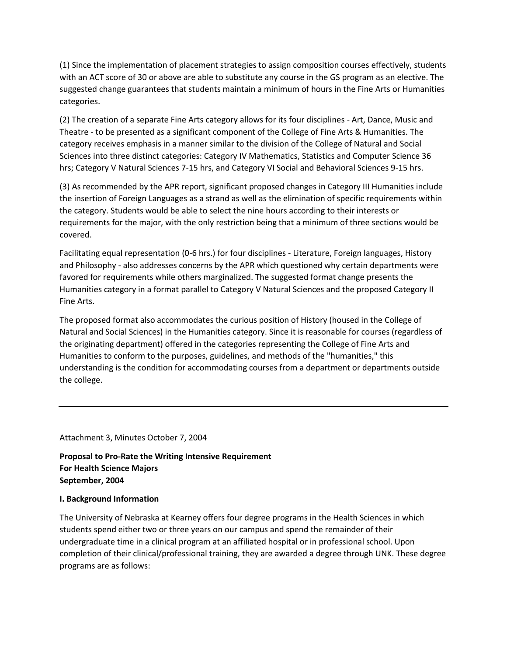(1) Since the implementation of placement strategies to assign composition courses effectively, students with an ACT score of 30 or above are able to substitute any course in the GS program as an elective. The suggested change guarantees that students maintain a minimum of hours in the Fine Arts or Humanities categories.

(2) The creation of a separate Fine Arts category allows for its four disciplines - Art, Dance, Music and Theatre - to be presented as a significant component of the College of Fine Arts & Humanities. The category receives emphasis in a manner similar to the division of the College of Natural and Social Sciences into three distinct categories: Category IV Mathematics, Statistics and Computer Science 36 hrs; Category V Natural Sciences 7-15 hrs, and Category VI Social and Behavioral Sciences 9-15 hrs.

(3) As recommended by the APR report, significant proposed changes in Category III Humanities include the insertion of Foreign Languages as a strand as well as the elimination of specific requirements within the category. Students would be able to select the nine hours according to their interests or requirements for the major, with the only restriction being that a minimum of three sections would be covered.

Facilitating equal representation (0-6 hrs.) for four disciplines - Literature, Foreign languages, History and Philosophy - also addresses concerns by the APR which questioned why certain departments were favored for requirements while others marginalized. The suggested format change presents the Humanities category in a format parallel to Category V Natural Sciences and the proposed Category II Fine Arts.

The proposed format also accommodates the curious position of History (housed in the College of Natural and Social Sciences) in the Humanities category. Since it is reasonable for courses (regardless of the originating department) offered in the categories representing the College of Fine Arts and Humanities to conform to the purposes, guidelines, and methods of the "humanities," this understanding is the condition for accommodating courses from a department or departments outside the college.

Attachment 3, Minutes October 7, 2004

**Proposal to Pro-Rate the Writing Intensive Requirement For Health Science Majors September, 2004**

#### **I. Background Information**

The University of Nebraska at Kearney offers four degree programs in the Health Sciences in which students spend either two or three years on our campus and spend the remainder of their undergraduate time in a clinical program at an affiliated hospital or in professional school. Upon completion of their clinical/professional training, they are awarded a degree through UNK. These degree programs are as follows: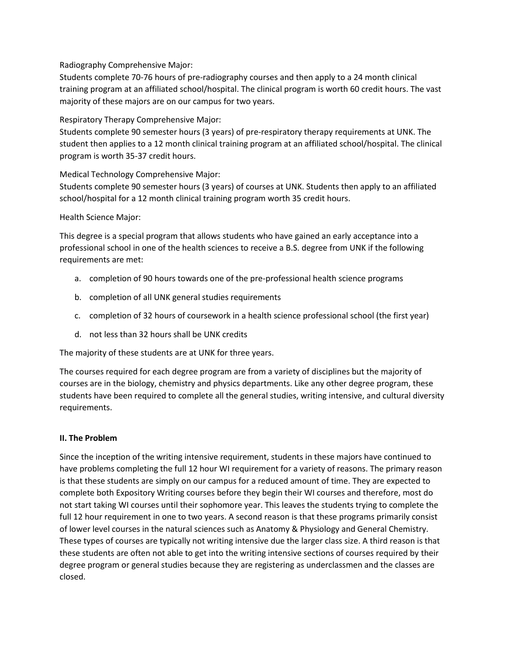Radiography Comprehensive Major:

Students complete 70-76 hours of pre-radiography courses and then apply to a 24 month clinical training program at an affiliated school/hospital. The clinical program is worth 60 credit hours. The vast majority of these majors are on our campus for two years.

Respiratory Therapy Comprehensive Major:

Students complete 90 semester hours (3 years) of pre-respiratory therapy requirements at UNK. The student then applies to a 12 month clinical training program at an affiliated school/hospital. The clinical program is worth 35-37 credit hours.

Medical Technology Comprehensive Major:

Students complete 90 semester hours (3 years) of courses at UNK. Students then apply to an affiliated school/hospital for a 12 month clinical training program worth 35 credit hours.

### Health Science Major:

This degree is a special program that allows students who have gained an early acceptance into a professional school in one of the health sciences to receive a B.S. degree from UNK if the following requirements are met:

- a. completion of 90 hours towards one of the pre-professional health science programs
- b. completion of all UNK general studies requirements
- c. completion of 32 hours of coursework in a health science professional school (the first year)
- d. not less than 32 hours shall be UNK credits

The majority of these students are at UNK for three years.

The courses required for each degree program are from a variety of disciplines but the majority of courses are in the biology, chemistry and physics departments. Like any other degree program, these students have been required to complete all the general studies, writing intensive, and cultural diversity requirements.

#### **II. The Problem**

Since the inception of the writing intensive requirement, students in these majors have continued to have problems completing the full 12 hour WI requirement for a variety of reasons. The primary reason is that these students are simply on our campus for a reduced amount of time. They are expected to complete both Expository Writing courses before they begin their WI courses and therefore, most do not start taking WI courses until their sophomore year. This leaves the students trying to complete the full 12 hour requirement in one to two years. A second reason is that these programs primarily consist of lower level courses in the natural sciences such as Anatomy & Physiology and General Chemistry. These types of courses are typically not writing intensive due the larger class size. A third reason is that these students are often not able to get into the writing intensive sections of courses required by their degree program or general studies because they are registering as underclassmen and the classes are closed.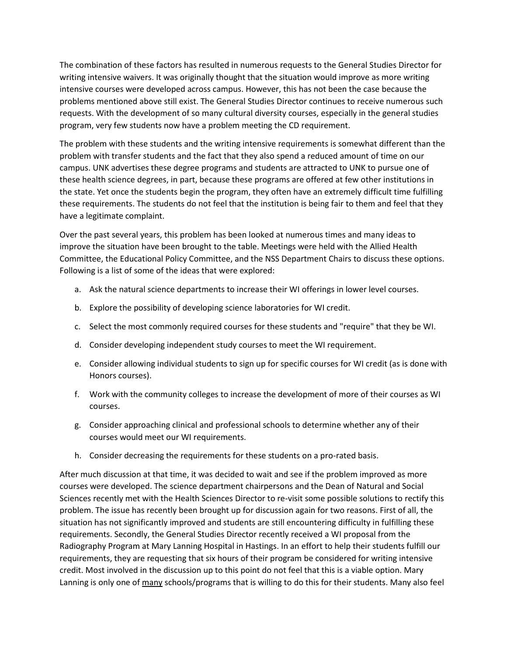The combination of these factors has resulted in numerous requests to the General Studies Director for writing intensive waivers. It was originally thought that the situation would improve as more writing intensive courses were developed across campus. However, this has not been the case because the problems mentioned above still exist. The General Studies Director continues to receive numerous such requests. With the development of so many cultural diversity courses, especially in the general studies program, very few students now have a problem meeting the CD requirement.

The problem with these students and the writing intensive requirements is somewhat different than the problem with transfer students and the fact that they also spend a reduced amount of time on our campus. UNK advertises these degree programs and students are attracted to UNK to pursue one of these health science degrees, in part, because these programs are offered at few other institutions in the state. Yet once the students begin the program, they often have an extremely difficult time fulfilling these requirements. The students do not feel that the institution is being fair to them and feel that they have a legitimate complaint.

Over the past several years, this problem has been looked at numerous times and many ideas to improve the situation have been brought to the table. Meetings were held with the Allied Health Committee, the Educational Policy Committee, and the NSS Department Chairs to discuss these options. Following is a list of some of the ideas that were explored:

- a. Ask the natural science departments to increase their WI offerings in lower level courses.
- b. Explore the possibility of developing science laboratories for WI credit.
- c. Select the most commonly required courses for these students and "require" that they be WI.
- d. Consider developing independent study courses to meet the WI requirement.
- e. Consider allowing individual students to sign up for specific courses for WI credit (as is done with Honors courses).
- f. Work with the community colleges to increase the development of more of their courses as WI courses.
- g. Consider approaching clinical and professional schools to determine whether any of their courses would meet our WI requirements.
- h. Consider decreasing the requirements for these students on a pro-rated basis.

After much discussion at that time, it was decided to wait and see if the problem improved as more courses were developed. The science department chairpersons and the Dean of Natural and Social Sciences recently met with the Health Sciences Director to re-visit some possible solutions to rectify this problem. The issue has recently been brought up for discussion again for two reasons. First of all, the situation has not significantly improved and students are still encountering difficulty in fulfilling these requirements. Secondly, the General Studies Director recently received a WI proposal from the Radiography Program at Mary Lanning Hospital in Hastings. In an effort to help their students fulfill our requirements, they are requesting that six hours of their program be considered for writing intensive credit. Most involved in the discussion up to this point do not feel that this is a viable option. Mary Lanning is only one of many schools/programs that is willing to do this for their students. Many also feel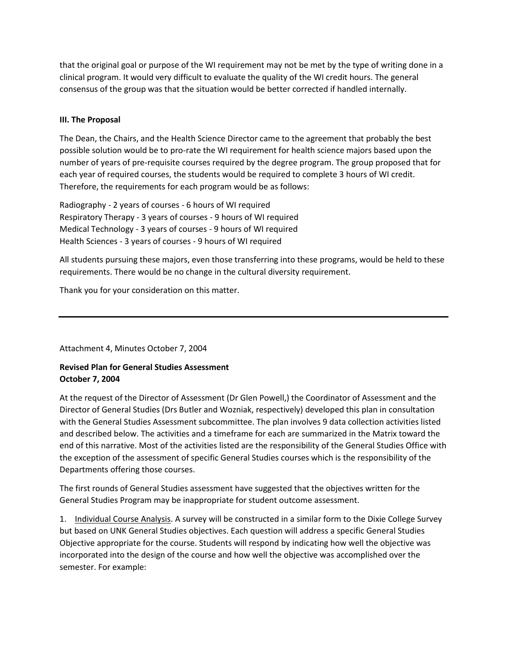that the original goal or purpose of the WI requirement may not be met by the type of writing done in a clinical program. It would very difficult to evaluate the quality of the WI credit hours. The general consensus of the group was that the situation would be better corrected if handled internally.

#### **III. The Proposal**

The Dean, the Chairs, and the Health Science Director came to the agreement that probably the best possible solution would be to pro-rate the WI requirement for health science majors based upon the number of years of pre-requisite courses required by the degree program. The group proposed that for each year of required courses, the students would be required to complete 3 hours of WI credit. Therefore, the requirements for each program would be as follows:

Radiography - 2 years of courses - 6 hours of WI required Respiratory Therapy - 3 years of courses - 9 hours of WI required Medical Technology - 3 years of courses - 9 hours of WI required Health Sciences - 3 years of courses - 9 hours of WI required

All students pursuing these majors, even those transferring into these programs, would be held to these requirements. There would be no change in the cultural diversity requirement.

Thank you for your consideration on this matter.

Attachment 4, Minutes October 7, 2004

# **Revised Plan for General Studies Assessment October 7, 2004**

At the request of the Director of Assessment (Dr Glen Powell,) the Coordinator of Assessment and the Director of General Studies (Drs Butler and Wozniak, respectively) developed this plan in consultation with the General Studies Assessment subcommittee. The plan involves 9 data collection activities listed and described below. The activities and a timeframe for each are summarized in the Matrix toward the end of this narrative. Most of the activities listed are the responsibility of the General Studies Office with the exception of the assessment of specific General Studies courses which is the responsibility of the Departments offering those courses.

The first rounds of General Studies assessment have suggested that the objectives written for the General Studies Program may be inappropriate for student outcome assessment.

1. Individual Course Analysis. A survey will be constructed in a similar form to the Dixie College Survey but based on UNK General Studies objectives. Each question will address a specific General Studies Objective appropriate for the course. Students will respond by indicating how well the objective was incorporated into the design of the course and how well the objective was accomplished over the semester. For example: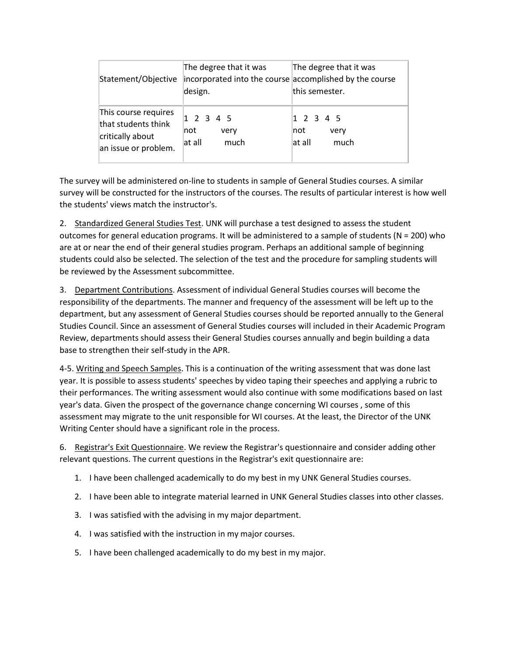| Statement/Objective                                                                     | The degree that it was<br>incorporated into the course accomplished by the course<br>design. | The degree that it was<br>this semester.     |
|-----------------------------------------------------------------------------------------|----------------------------------------------------------------------------------------------|----------------------------------------------|
| This course requires<br>that students think<br>critically about<br>an issue or problem. | 1 2 3 4 5<br> not<br>very<br>$ at$ all<br>much                                               | 1 2 3 4 5<br>Inot.<br>very<br>at all<br>much |

The survey will be administered on-line to students in sample of General Studies courses. A similar survey will be constructed for the instructors of the courses. The results of particular interest is how well the students' views match the instructor's.

2. Standardized General Studies Test. UNK will purchase a test designed to assess the student outcomes for general education programs. It will be administered to a sample of students (N = 200) who are at or near the end of their general studies program. Perhaps an additional sample of beginning students could also be selected. The selection of the test and the procedure for sampling students will be reviewed by the Assessment subcommittee.

3. Department Contributions. Assessment of individual General Studies courses will become the responsibility of the departments. The manner and frequency of the assessment will be left up to the department, but any assessment of General Studies courses should be reported annually to the General Studies Council. Since an assessment of General Studies courses will included in their Academic Program Review, departments should assess their General Studies courses annually and begin building a data base to strengthen their self-study in the APR.

4-5. Writing and Speech Samples. This is a continuation of the writing assessment that was done last year. It is possible to assess students' speeches by video taping their speeches and applying a rubric to their performances. The writing assessment would also continue with some modifications based on last year's data. Given the prospect of the governance change concerning WI courses , some of this assessment may migrate to the unit responsible for WI courses. At the least, the Director of the UNK Writing Center should have a significant role in the process.

6. Registrar's Exit Questionnaire. We review the Registrar's questionnaire and consider adding other relevant questions. The current questions in the Registrar's exit questionnaire are:

- 1. I have been challenged academically to do my best in my UNK General Studies courses.
- 2. I have been able to integrate material learned in UNK General Studies classes into other classes.
- 3. I was satisfied with the advising in my major department.
- 4. I was satisfied with the instruction in my major courses.
- 5. I have been challenged academically to do my best in my major.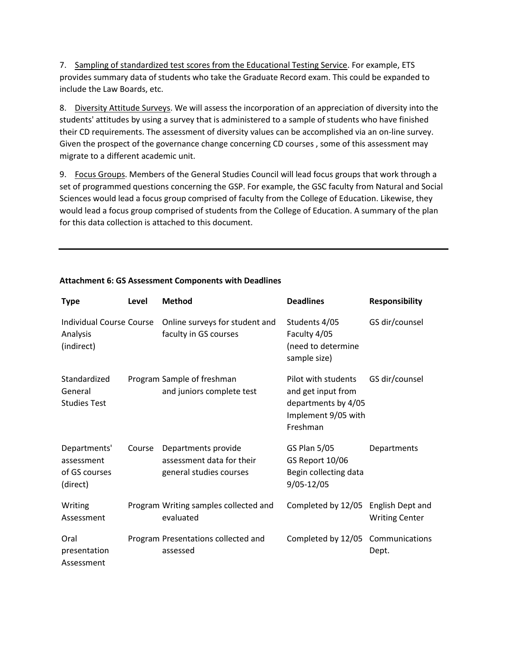7. Sampling of standardized test scores from the Educational Testing Service. For example, ETS provides summary data of students who take the Graduate Record exam. This could be expanded to include the Law Boards, etc.

8. Diversity Attitude Surveys. We will assess the incorporation of an appreciation of diversity into the students' attitudes by using a survey that is administered to a sample of students who have finished their CD requirements. The assessment of diversity values can be accomplished via an on-line survey. Given the prospect of the governance change concerning CD courses , some of this assessment may migrate to a different academic unit.

9. Focus Groups. Members of the General Studies Council will lead focus groups that work through a set of programmed questions concerning the GSP. For example, the GSC faculty from Natural and Social Sciences would lead a focus group comprised of faculty from the College of Education. Likewise, they would lead a focus group comprised of students from the College of Education. A summary of the plan for this data collection is attached to this document.

| <b>Type</b>                                               | Level  | <b>Method</b>                                                               | <b>Deadlines</b>                                                                                    | <b>Responsibility</b>                     |
|-----------------------------------------------------------|--------|-----------------------------------------------------------------------------|-----------------------------------------------------------------------------------------------------|-------------------------------------------|
| <b>Individual Course Course</b><br>Analysis<br>(indirect) |        | Online surveys for student and<br>faculty in GS courses                     | Students 4/05<br>Faculty 4/05<br>(need to determine<br>sample size)                                 | GS dir/counsel                            |
| Standardized<br>General<br><b>Studies Test</b>            |        | Program Sample of freshman<br>and juniors complete test                     | Pilot with students<br>and get input from<br>departments by 4/05<br>Implement 9/05 with<br>Freshman | GS dir/counsel                            |
| Departments'<br>assessment<br>of GS courses<br>(direct)   | Course | Departments provide<br>assessment data for their<br>general studies courses | <b>GS Plan 5/05</b><br>GS Report 10/06<br>Begin collecting data<br>9/05-12/05                       | Departments                               |
| Writing<br>Assessment                                     |        | Program Writing samples collected and<br>evaluated                          | Completed by 12/05                                                                                  | English Dept and<br><b>Writing Center</b> |
| Oral<br>presentation<br>Assessment                        |        | Program Presentations collected and<br>assessed                             | Completed by 12/05                                                                                  | Communications<br>Dept.                   |

#### **Attachment 6: GS Assessment Components with Deadlines**